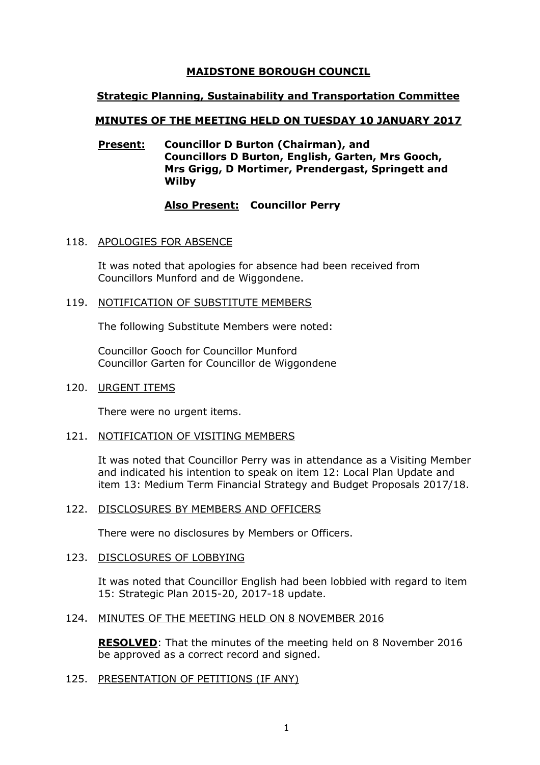### **MAIDSTONE BOROUGH COUNCIL**

### **Strategic Planning, Sustainability and Transportation Committee**

### **MINUTES OF THE MEETING HELD ON TUESDAY 10 JANUARY 2017**

### **Present: Councillor D Burton (Chairman), and Councillors D Burton, English, Garten, Mrs Gooch, Mrs Grigg, D Mortimer, Prendergast, Springett and Wilby**

### **Also Present: Councillor Perry**

### 118. APOLOGIES FOR ABSENCE

It was noted that apologies for absence had been received from Councillors Munford and de Wiggondene.

### 119. NOTIFICATION OF SUBSTITUTE MEMBERS

The following Substitute Members were noted:

Councillor Gooch for Councillor Munford Councillor Garten for Councillor de Wiggondene

### 120. URGENT ITEMS

There were no urgent items.

### 121. NOTIFICATION OF VISITING MEMBERS

It was noted that Councillor Perry was in attendance as a Visiting Member and indicated his intention to speak on item 12: Local Plan Update and item 13: Medium Term Financial Strategy and Budget Proposals 2017/18.

#### 122. DISCLOSURES BY MEMBERS AND OFFICERS

There were no disclosures by Members or Officers.

#### 123. DISCLOSURES OF LOBBYING

It was noted that Councillor English had been lobbied with regard to item 15: Strategic Plan 2015-20, 2017-18 update.

### 124. MINUTES OF THE MEETING HELD ON 8 NOVEMBER 2016

**RESOLVED**: That the minutes of the meeting held on 8 November 2016 be approved as a correct record and signed.

### 125. PRESENTATION OF PETITIONS (IF ANY)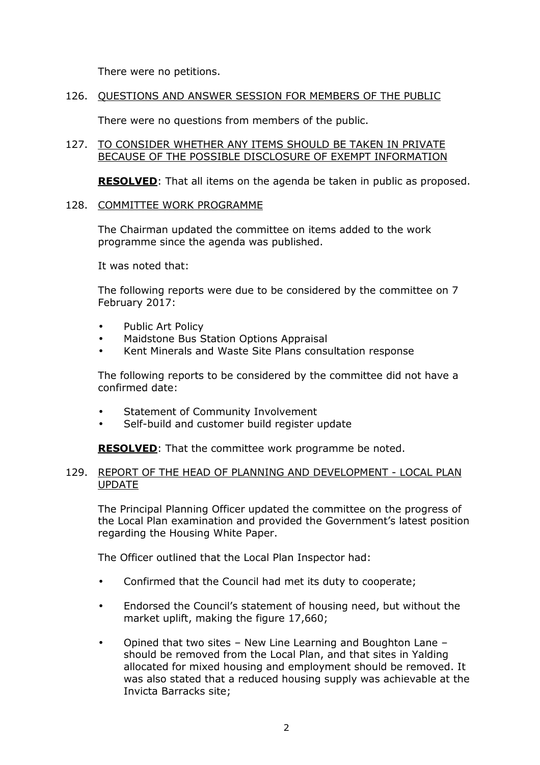There were no petitions.

### 126. QUESTIONS AND ANSWER SESSION FOR MEMBERS OF THE PUBLIC

There were no questions from members of the public.

### 127. TO CONSIDER WHETHER ANY ITEMS SHOULD BE TAKEN IN PRIVATE BECAUSE OF THE POSSIBLE DISCLOSURE OF EXEMPT INFORMATION

**RESOLVED**: That all items on the agenda be taken in public as proposed.

### 128. COMMITTEE WORK PROGRAMME

The Chairman updated the committee on items added to the work programme since the agenda was published.

It was noted that:

The following reports were due to be considered by the committee on 7 February 2017:

- Public Art Policy
- Maidstone Bus Station Options Appraisal
- Kent Minerals and Waste Site Plans consultation response

The following reports to be considered by the committee did not have a confirmed date:

- Statement of Community Involvement
- Self-build and customer build register update

**RESOLVED:** That the committee work programme be noted.

### 129. REPORT OF THE HEAD OF PLANNING AND DEVELOPMENT - LOCAL PLAN UPDATE

The Principal Planning Officer updated the committee on the progress of the Local Plan examination and provided the Government's latest position regarding the Housing White Paper.

The Officer outlined that the Local Plan Inspector had:

- Confirmed that the Council had met its duty to cooperate;
- Endorsed the Council's statement of housing need, but without the market uplift, making the figure 17,660;
- Opined that two sites New Line Learning and Boughton Lane should be removed from the Local Plan, and that sites in Yalding allocated for mixed housing and employment should be removed. It was also stated that a reduced housing supply was achievable at the Invicta Barracks site;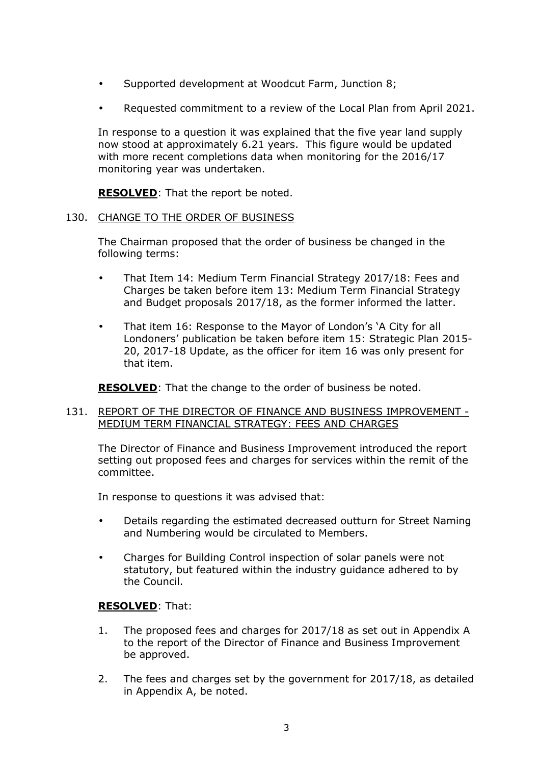- Supported development at Woodcut Farm, Junction 8;
- Requested commitment to a review of the Local Plan from April 2021.

In response to a question it was explained that the five year land supply now stood at approximately 6.21 years. This figure would be updated with more recent completions data when monitoring for the 2016/17 monitoring year was undertaken.

**RESOLVED**: That the report be noted.

### 130. CHANGE TO THE ORDER OF BUSINESS

The Chairman proposed that the order of business be changed in the following terms:

- That Item 14: Medium Term Financial Strategy 2017/18: Fees and Charges be taken before item 13: Medium Term Financial Strategy and Budget proposals 2017/18, as the former informed the latter.
- That item 16: Response to the Mayor of London's 'A City for all Londoners' publication be taken before item 15: Strategic Plan 2015- 20, 2017-18 Update, as the officer for item 16 was only present for that item.

**RESOLVED**: That the change to the order of business be noted.

### 131. REPORT OF THE DIRECTOR OF FINANCE AND BUSINESS IMPROVEMENT - MEDIUM TERM FINANCIAL STRATEGY: FEES AND CHARGES

The Director of Finance and Business Improvement introduced the report setting out proposed fees and charges for services within the remit of the committee.

In response to questions it was advised that:

- Details regarding the estimated decreased outturn for Street Naming and Numbering would be circulated to Members.
- Charges for Building Control inspection of solar panels were not statutory, but featured within the industry guidance adhered to by the Council.

# **RESOLVED**: That:

- 1. The proposed fees and charges for 2017/18 as set out in Appendix A to the report of the Director of Finance and Business Improvement be approved.
- 2. The fees and charges set by the government for 2017/18, as detailed in Appendix A, be noted.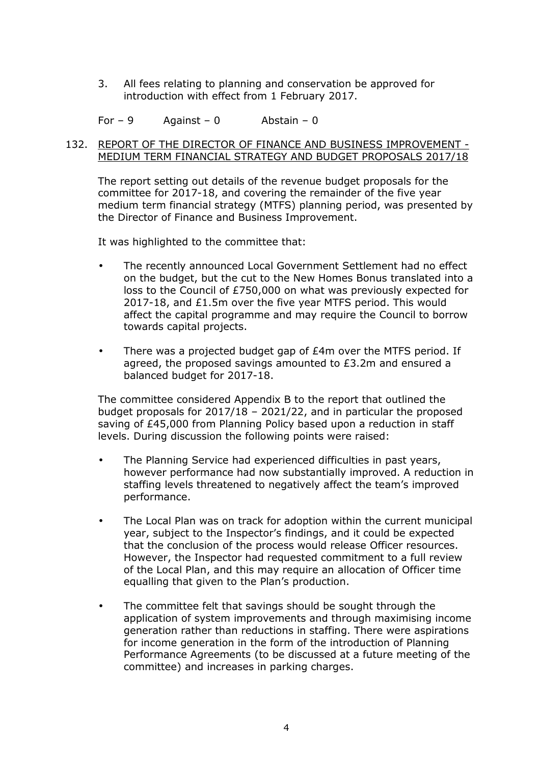3. All fees relating to planning and conservation be approved for introduction with effect from 1 February 2017.

For  $-9$  Against  $-0$  Abstain  $-0$ 

### 132. REPORT OF THE DIRECTOR OF FINANCE AND BUSINESS IMPROVEMENT - MEDIUM TERM FINANCIAL STRATEGY AND BUDGET PROPOSALS 2017/18

The report setting out details of the revenue budget proposals for the committee for 2017-18, and covering the remainder of the five year medium term financial strategy (MTFS) planning period, was presented by the Director of Finance and Business Improvement.

It was highlighted to the committee that:

- The recently announced Local Government Settlement had no effect on the budget, but the cut to the New Homes Bonus translated into a loss to the Council of £750,000 on what was previously expected for 2017-18, and £1.5m over the five year MTFS period. This would affect the capital programme and may require the Council to borrow towards capital projects.
- There was a projected budget gap of £4m over the MTFS period. If agreed, the proposed savings amounted to £3.2m and ensured a balanced budget for 2017-18.

The committee considered Appendix B to the report that outlined the budget proposals for 2017/18 – 2021/22, and in particular the proposed saving of £45,000 from Planning Policy based upon a reduction in staff levels. During discussion the following points were raised:

- The Planning Service had experienced difficulties in past years, however performance had now substantially improved. A reduction in staffing levels threatened to negatively affect the team's improved performance.
- The Local Plan was on track for adoption within the current municipal year, subject to the Inspector's findings, and it could be expected that the conclusion of the process would release Officer resources. However, the Inspector had requested commitment to a full review of the Local Plan, and this may require an allocation of Officer time equalling that given to the Plan's production.
- The committee felt that savings should be sought through the application of system improvements and through maximising income generation rather than reductions in staffing. There were aspirations for income generation in the form of the introduction of Planning Performance Agreements (to be discussed at a future meeting of the committee) and increases in parking charges.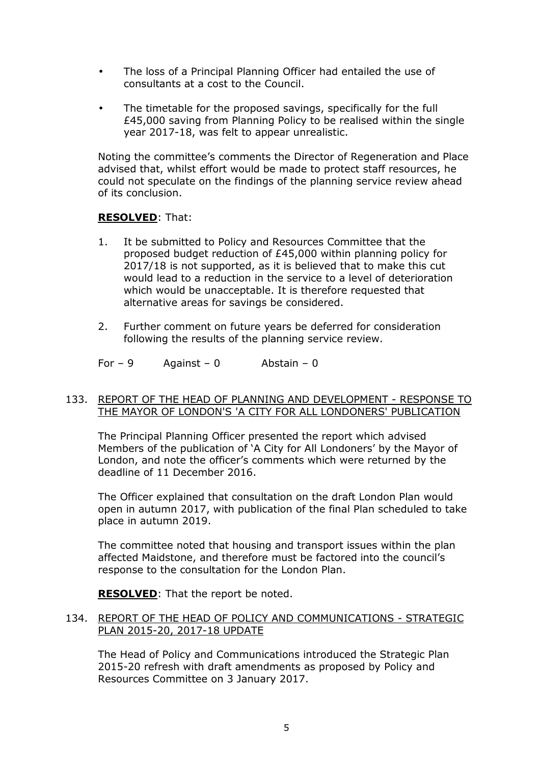- The loss of a Principal Planning Officer had entailed the use of consultants at a cost to the Council.
- The timetable for the proposed savings, specifically for the full £45,000 saving from Planning Policy to be realised within the single year 2017-18, was felt to appear unrealistic.

Noting the committee's comments the Director of Regeneration and Place advised that, whilst effort would be made to protect staff resources, he could not speculate on the findings of the planning service review ahead of its conclusion.

# **RESOLVED**: That:

- 1. It be submitted to Policy and Resources Committee that the proposed budget reduction of £45,000 within planning policy for 2017/18 is not supported, as it is believed that to make this cut would lead to a reduction in the service to a level of deterioration which would be unacceptable. It is therefore requested that alternative areas for savings be considered.
- 2. Further comment on future years be deferred for consideration following the results of the planning service review.
- For  $-9$  Against  $-0$  Abstain  $-0$

### 133. REPORT OF THE HEAD OF PLANNING AND DEVELOPMENT - RESPONSE TO THE MAYOR OF LONDON'S 'A CITY FOR ALL LONDONERS' PUBLICATION

The Principal Planning Officer presented the report which advised Members of the publication of 'A City for All Londoners' by the Mayor of London, and note the officer's comments which were returned by the deadline of 11 December 2016.

The Officer explained that consultation on the draft London Plan would open in autumn 2017, with publication of the final Plan scheduled to take place in autumn 2019.

The committee noted that housing and transport issues within the plan affected Maidstone, and therefore must be factored into the council's response to the consultation for the London Plan.

**RESOLVED**: That the report be noted.

### 134. REPORT OF THE HEAD OF POLICY AND COMMUNICATIONS - STRATEGIC PLAN 2015-20, 2017-18 UPDATE

The Head of Policy and Communications introduced the Strategic Plan 2015-20 refresh with draft amendments as proposed by Policy and Resources Committee on 3 January 2017.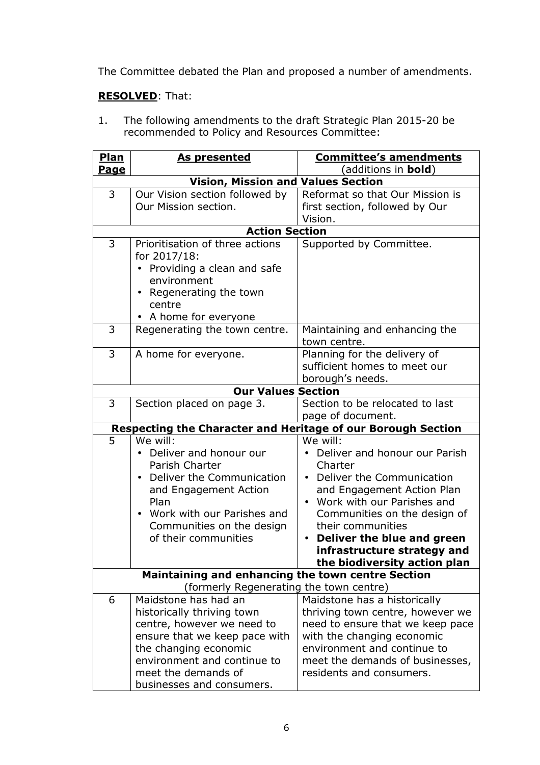The Committee debated the Plan and proposed a number of amendments.

# **RESOLVED**: That:

1. The following amendments to the draft Strategic Plan 2015-20 be recommended to Policy and Resources Committee:

| <b>Plan</b>                               | As presented                                                                                                                                                                                                                                               | <b>Committee's amendments</b>                                                                                                                                                                                                                                                                     |  |  |  |
|-------------------------------------------|------------------------------------------------------------------------------------------------------------------------------------------------------------------------------------------------------------------------------------------------------------|---------------------------------------------------------------------------------------------------------------------------------------------------------------------------------------------------------------------------------------------------------------------------------------------------|--|--|--|
| <u>Page</u>                               |                                                                                                                                                                                                                                                            | (additions in <b>bold</b> )                                                                                                                                                                                                                                                                       |  |  |  |
| <b>Vision, Mission and Values Section</b> |                                                                                                                                                                                                                                                            |                                                                                                                                                                                                                                                                                                   |  |  |  |
| 3                                         | Our Vision section followed by<br>Our Mission section.                                                                                                                                                                                                     | Reformat so that Our Mission is<br>first section, followed by Our<br>Vision.                                                                                                                                                                                                                      |  |  |  |
|                                           | <b>Action Section</b>                                                                                                                                                                                                                                      |                                                                                                                                                                                                                                                                                                   |  |  |  |
| 3                                         | Prioritisation of three actions<br>for 2017/18:<br>• Providing a clean and safe<br>environment<br>• Regenerating the town<br>centre<br>• A home for everyone                                                                                               | Supported by Committee.                                                                                                                                                                                                                                                                           |  |  |  |
| 3                                         | Regenerating the town centre.                                                                                                                                                                                                                              | Maintaining and enhancing the<br>town centre.                                                                                                                                                                                                                                                     |  |  |  |
| 3                                         | A home for everyone.                                                                                                                                                                                                                                       | Planning for the delivery of<br>sufficient homes to meet our<br>borough's needs.                                                                                                                                                                                                                  |  |  |  |
|                                           | <b>Our Values Section</b>                                                                                                                                                                                                                                  |                                                                                                                                                                                                                                                                                                   |  |  |  |
| 3                                         | Section placed on page 3.                                                                                                                                                                                                                                  | Section to be relocated to last<br>page of document.                                                                                                                                                                                                                                              |  |  |  |
|                                           | <b>Respecting the Character and Heritage of our Borough Section</b>                                                                                                                                                                                        |                                                                                                                                                                                                                                                                                                   |  |  |  |
| 5                                         | We will:<br>Deliver and honour our<br>Parish Charter<br>Deliver the Communication<br>and Engagement Action<br>Plan<br>Work with our Parishes and<br>Communities on the design<br>of their communities<br>Maintaining and enhancing the town centre Section | We will:<br>Deliver and honour our Parish<br>Charter<br>• Deliver the Communication<br>and Engagement Action Plan<br>Work with our Parishes and<br>Communities on the design of<br>their communities<br>Deliver the blue and green<br>infrastructure strategy and<br>the biodiversity action plan |  |  |  |
|                                           | (formerly Regenerating the town centre)                                                                                                                                                                                                                    |                                                                                                                                                                                                                                                                                                   |  |  |  |
| 6                                         | Maidstone has had an<br>historically thriving town<br>centre, however we need to<br>ensure that we keep pace with<br>the changing economic<br>environment and continue to<br>meet the demands of<br>businesses and consumers.                              | Maidstone has a historically<br>thriving town centre, however we<br>need to ensure that we keep pace<br>with the changing economic<br>environment and continue to<br>meet the demands of businesses,<br>residents and consumers.                                                                  |  |  |  |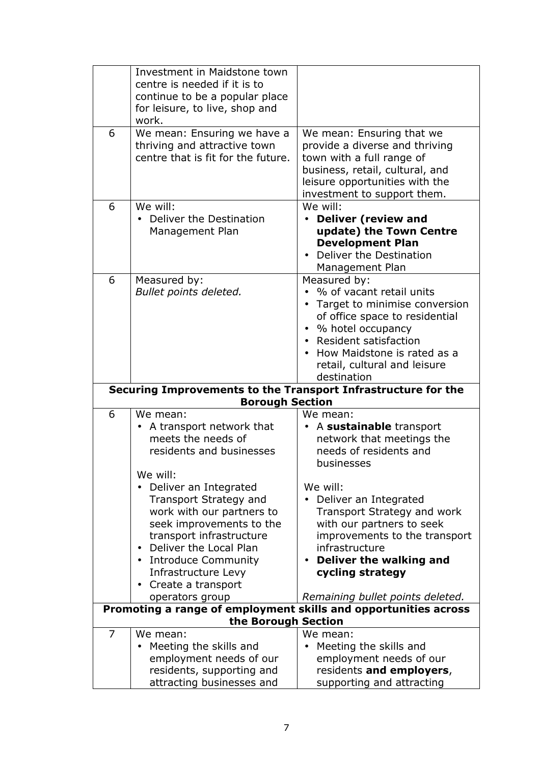|                                                                                         | Investment in Maidstone town<br>centre is needed if it is to<br>continue to be a popular place                                                                                                                                                                  |                                                                                                                                                                                                                                               |  |  |
|-----------------------------------------------------------------------------------------|-----------------------------------------------------------------------------------------------------------------------------------------------------------------------------------------------------------------------------------------------------------------|-----------------------------------------------------------------------------------------------------------------------------------------------------------------------------------------------------------------------------------------------|--|--|
|                                                                                         | for leisure, to live, shop and<br>work.                                                                                                                                                                                                                         |                                                                                                                                                                                                                                               |  |  |
| 6                                                                                       | We mean: Ensuring we have a<br>thriving and attractive town<br>centre that is fit for the future.                                                                                                                                                               | We mean: Ensuring that we<br>provide a diverse and thriving<br>town with a full range of<br>business, retail, cultural, and<br>leisure opportunities with the<br>investment to support them.                                                  |  |  |
| 6                                                                                       | We will:<br>• Deliver the Destination<br>Management Plan                                                                                                                                                                                                        | We will:<br><b>Deliver (review and</b><br>update) the Town Centre<br><b>Development Plan</b><br>Deliver the Destination<br>Management Plan                                                                                                    |  |  |
| 6                                                                                       | Measured by:<br>Bullet points deleted.                                                                                                                                                                                                                          | Measured by:<br>• % of vacant retail units<br>Target to minimise conversion<br>of office space to residential<br>• % hotel occupancy<br>• Resident satisfaction<br>How Maidstone is rated as a<br>retail, cultural and leisure<br>destination |  |  |
| Securing Improvements to the Transport Infrastructure for the<br><b>Borough Section</b> |                                                                                                                                                                                                                                                                 |                                                                                                                                                                                                                                               |  |  |
| 6                                                                                       | We mean:<br>• A transport network that<br>meets the needs of<br>residents and businesses                                                                                                                                                                        | We mean:<br>A sustainable transport<br>network that meetings the<br>needs of residents and<br>businesses                                                                                                                                      |  |  |
|                                                                                         | We will:<br>• Deliver an Integrated<br>Transport Strategy and<br>work with our partners to<br>seek improvements to the<br>transport infrastructure<br>Deliver the Local Plan<br>• Introduce Community<br>Infrastructure Levy<br>Create a transport<br>$\bullet$ | We will:<br>Deliver an Integrated<br>Transport Strategy and work<br>with our partners to seek<br>improvements to the transport<br>infrastructure<br>Deliver the walking and<br>cycling strategy                                               |  |  |
|                                                                                         | operators group                                                                                                                                                                                                                                                 | Remaining bullet points deleted.                                                                                                                                                                                                              |  |  |
| Promoting a range of employment skills and opportunities across<br>the Borough Section  |                                                                                                                                                                                                                                                                 |                                                                                                                                                                                                                                               |  |  |
| $\overline{7}$                                                                          | We mean:<br>Meeting the skills and<br>employment needs of our<br>residents, supporting and<br>attracting businesses and                                                                                                                                         | We mean:<br>Meeting the skills and<br>employment needs of our<br>residents and employers,<br>supporting and attracting                                                                                                                        |  |  |